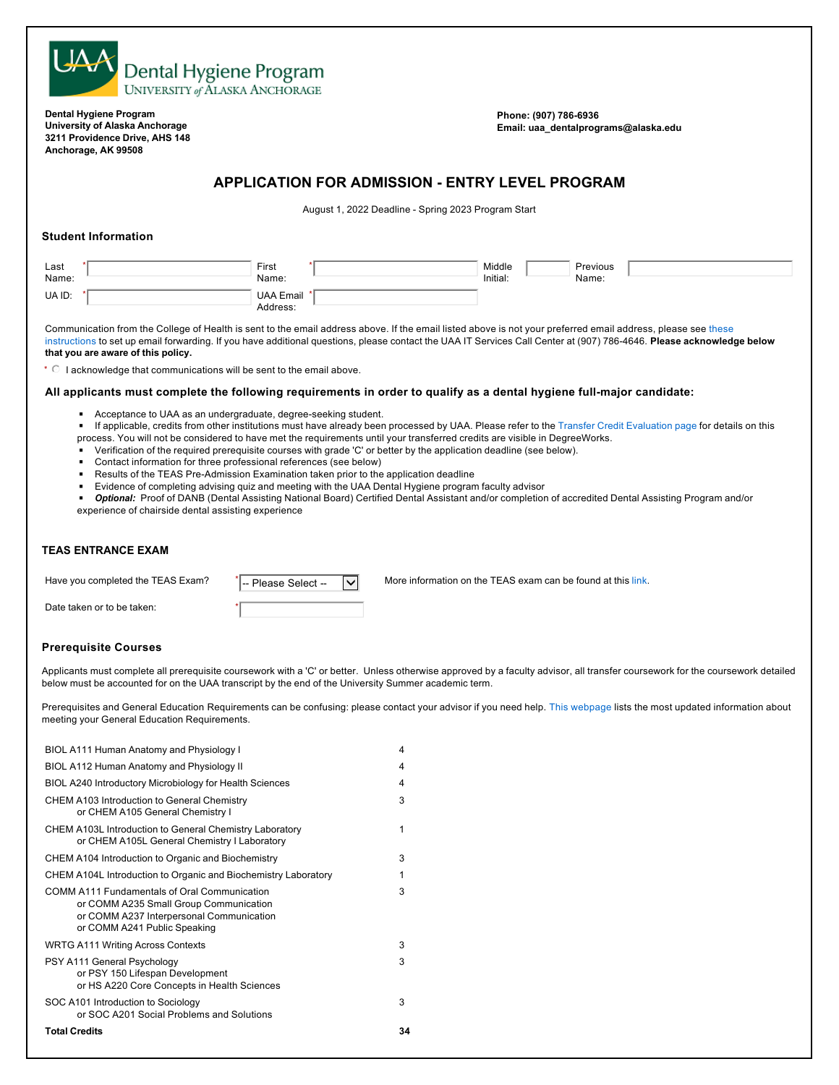

**Dental Hygiene Program University of Alaska Anchorage 3211 Providence Drive, AHS 148 Anchorage, AK 99508**

**Phone: (907) 786-6936 Email: uaa\_dentalprograms@alaska.edu**

# **APPLICATION FOR ADMISSION - ENTRY LEVEL PROGRAM**

August 1, 2022 Deadline - Spring 2023 Program Start

### **Student Information**

| Last   | First                        | Middle   | Previous |
|--------|------------------------------|----------|----------|
| Name:  | Name:                        | Initial: | Name:    |
| UA ID: | <b>UAA Email</b><br>Address: |          |          |

Communication from the College of Health is sent to the email address above. If the email listed above is not your preferred email address, please see these instructions to set up email forwarding. If you have additional questions, please contact the UAA IT Services Call Center at (907) 786-4646. **Please acknowledge below that you are aware of this policy.**

 $\cdot \circ$  I acknowledge that communications will be sent to the email above.

#### **All applicants must complete the following requirements in order to qualify as a dental hygiene full-major candidate:**

Acceptance to UAA as an undergraduate, degree-seeking student.

■ If applicable, credits from other institutions must have already been processed by UAA. Please refer to the Transfer Credit Evaluation page for details on this process. You will not be considered to have met the requirements until your transferred credits are visible in DegreeWorks.

- Verification of the required prerequisite courses with grade 'C' or better by the application deadline (see below).
- Contact information for three professional references (see below)

\*

- Results of the TEAS Pre-Admission Examination taken prior to the application deadline
- Evidence of completing advising quiz and meeting with the UAA Dental Hygiene program faculty advisor
- ◾ *Optional:* Proof of DANB (Dental Assisting National Board) Certified Dental Assistant and/or completion of accredited Dental Assisting Program and/or experience of chairside dental assisting experience

# **TEAS ENTRANCE EXAM**

Please Select --

Have you completed the TEAS Exam?  $\sqrt{\frac{1}{n}}$  Please Select  $\sqrt{N}$  More information on the TEAS exam can be found at this link.

Date taken or to be taken:

### **Prerequisite Courses**

Applicants must complete all prerequisite coursework with a 'C' or better. Unless otherwise approved by a faculty advisor, all transfer coursework for the coursework detailed below must be accounted for on the UAA transcript by the end of the University Summer academic term.

Prerequisites and General Education Requirements can be confusing: please contact your advisor if you need help. This webpage lists the most updated information about meeting your General Education Requirements.

| BIOL A111 Human Anatomy and Physiology I                                                                                                                                  | 4  |
|---------------------------------------------------------------------------------------------------------------------------------------------------------------------------|----|
| BIOL A112 Human Anatomy and Physiology II                                                                                                                                 | 4  |
| BIOL A240 Introductory Microbiology for Health Sciences                                                                                                                   | 4  |
| <b>CHEM A103 Introduction to General Chemistry</b><br>or CHEM A105 General Chemistry I                                                                                    | 3  |
| CHEM A103L Introduction to General Chemistry Laboratory<br>or CHEM A105L General Chemistry I Laboratory                                                                   | 1  |
| CHEM A104 Introduction to Organic and Biochemistry                                                                                                                        | 3  |
| CHEM A104L Introduction to Organic and Biochemistry Laboratory                                                                                                            | 1  |
| <b>COMM A111 Fundamentals of Oral Communication</b><br>or COMM A235 Small Group Communication<br>or COMM A237 Interpersonal Communication<br>or COMM A241 Public Speaking | 3  |
| <b>WRTG A111 Writing Across Contexts</b>                                                                                                                                  | 3  |
| PSY A111 General Psychology<br>or PSY 150 Lifespan Development<br>or HS A220 Core Concepts in Health Sciences                                                             | 3  |
| SOC A101 Introduction to Sociology<br>or SOC A201 Social Problems and Solutions                                                                                           | 3  |
| <b>Total Credits</b>                                                                                                                                                      | 34 |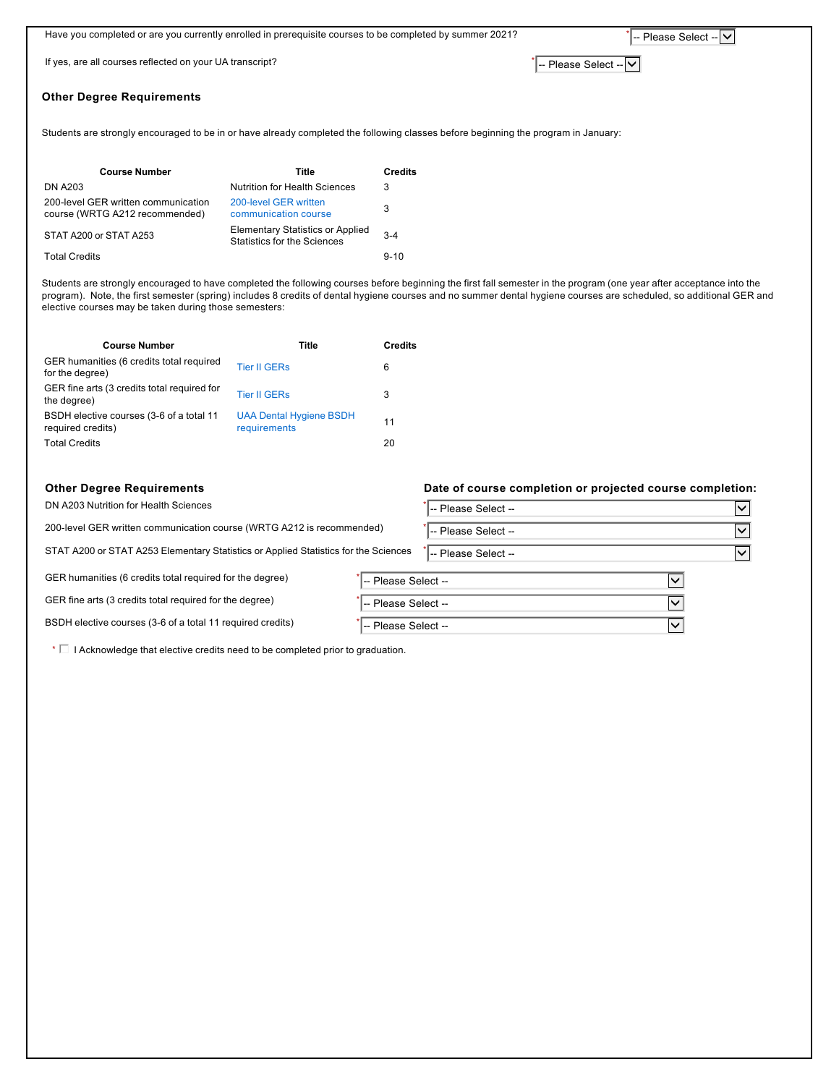|                                                                                                                                    | Have you completed or are you currently enrolled in prerequisite courses to be completed by summer 2021?<br> -- Please Select --   ∨ |                                                                        |                         |  |
|------------------------------------------------------------------------------------------------------------------------------------|--------------------------------------------------------------------------------------------------------------------------------------|------------------------------------------------------------------------|-------------------------|--|
| If yes, are all courses reflected on your UA transcript?                                                                           |                                                                                                                                      |                                                                        | -- Please Select --   v |  |
| <b>Other Degree Requirements</b>                                                                                                   |                                                                                                                                      |                                                                        |                         |  |
| Students are strongly encouraged to be in or have already completed the following classes before beginning the program in January: |                                                                                                                                      |                                                                        |                         |  |
|                                                                                                                                    | <b>Course Number</b>                                                                                                                 | Title                                                                  | <b>Credits</b>          |  |
|                                                                                                                                    | <b>DN A203</b>                                                                                                                       | <b>Nutrition for Health Sciences</b>                                   | 3                       |  |
|                                                                                                                                    | 200-level GER written communication<br>course (WRTG A212 recommended)                                                                | 200-level GER written<br>communication course                          | 3                       |  |
|                                                                                                                                    | STAT A200 or STAT A253                                                                                                               | <b>Elementary Statistics or Applied</b><br>Statistics for the Sciences | $3 - 4$                 |  |
|                                                                                                                                    | <b>Total Credits</b>                                                                                                                 |                                                                        | $9 - 10$                |  |

Students are strongly encouraged to have completed the following courses before beginning the first fall semester in the program (one year after acceptance into the program). Note, the first semester (spring) includes 8 credits of dental hygiene courses and no summer dental hygiene courses are scheduled, so additional GER and elective courses may be taken during those semesters:

| <b>Course Number</b>                                          | Title                                          | <b>Credits</b> |
|---------------------------------------------------------------|------------------------------------------------|----------------|
| GER humanities (6 credits total required<br>for the degree)   | <b>Tier II GERs</b>                            | 6              |
| GER fine arts (3 credits total required for<br>the degree)    | <b>Tier II GERs</b>                            | 3              |
| BSDH elective courses (3-6 of a total 11<br>required credits) | <b>UAA Dental Hygiene BSDH</b><br>requirements | 11             |
| <b>Total Credits</b>                                          |                                                | 20             |

DN A203 Nutrition for Health Sciences

200-level GER written communication course (WRTG A212 is recommended)

STAT A200 or STAT A253 Elementary Statistics or Applied Statistics for the Sciences

GER humanities (6 credits total required for the degree)

GER fine arts (3 credits total required for the degree)

BSDH elective courses (3-6 of a total 11 required credits)

 $\cdot \Box$  I Acknowledge that elective credits need to be completed prior to graduation.

#### **Other Degree Requirements Date of course completion or projected course completion:**

| - Please Select --            |  |
|-------------------------------|--|
| -- Please Select <sup>-</sup> |  |
| -- Please Select --           |  |

| -- Please Select -- |  |
|---------------------|--|
| -- Please Select -- |  |

 $\sim$  -- Please Select --  $\sim$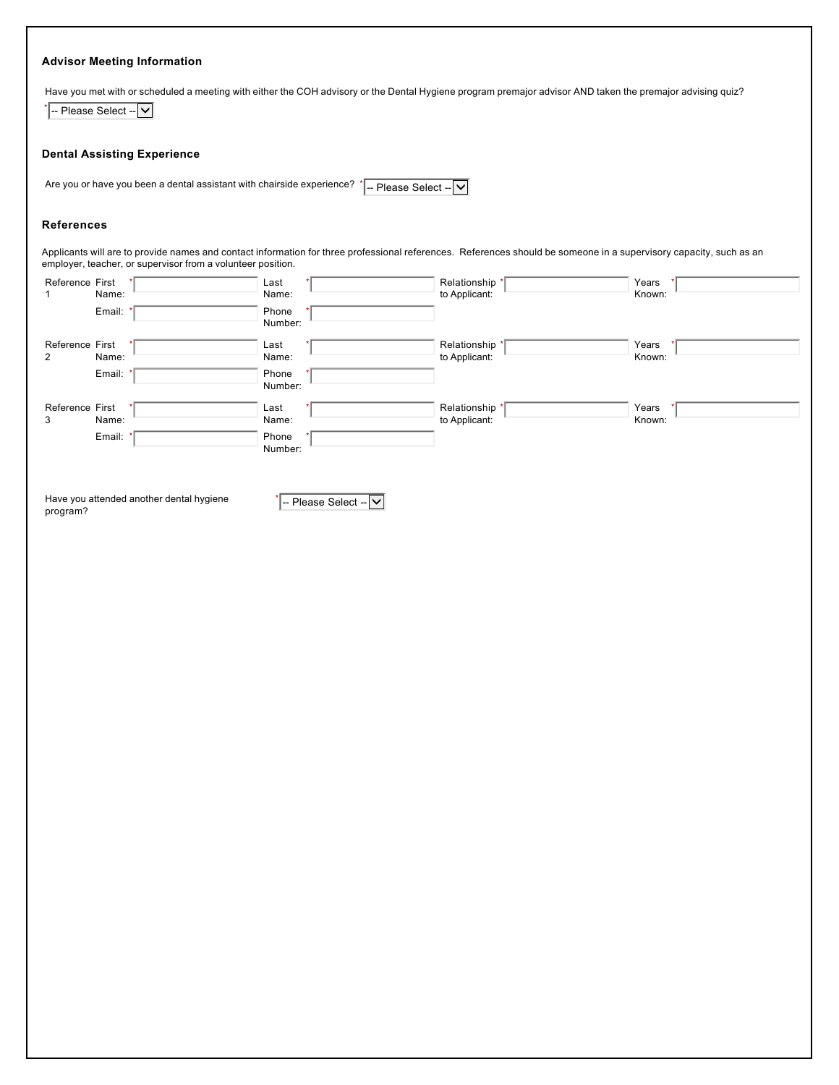# **Advisor Meeting Information**

Have you met with or scheduled a meeting with either the COH advisory or the Dental Hygiene program premajor advisor AND taken the premajor advising quiz?

 $\overline{\phantom{a}}$  -- Please Select --  $\overline{\phantom{a}}$ 

#### **Dental Assisting Experience**

Are you or have you been a dental assistant with chairside experience?  $\sqrt{\frac{1}{2}P}$  Please Select -  $\sqrt{\frac{1}{2}P}$ 

# **References**

Applicants will are to provide names and contact information for three professional references. References should be someone in a supervisory capacity, such as an employer, teacher, or supervisor from a volunteer position.

| Reference First |                                          | Last                  | Relationship   | Years  |
|-----------------|------------------------------------------|-----------------------|----------------|--------|
| $\mathbf{1}$    | Name:                                    | Name:                 | to Applicant:  | Known: |
|                 | Email:                                   | Phone                 |                |        |
|                 |                                          | Number:               |                |        |
| Reference First |                                          | Last                  | Relationship * | Years  |
| $\overline{2}$  | Name:                                    | Name:                 | to Applicant:  | Known: |
|                 | Email:                                   | Phone                 |                |        |
|                 |                                          | Number:               |                |        |
| Reference First |                                          | Last                  | Relationship   | Years  |
| 3               | Name:                                    | Name:                 | to Applicant:  | Known: |
|                 | Email:                                   | Phone                 |                |        |
|                 |                                          | Number:               |                |        |
|                 |                                          |                       |                |        |
|                 |                                          |                       |                |        |
|                 | Have you attended another dental hygiene |                       |                |        |
| program?        |                                          | -- Please Select -- V |                |        |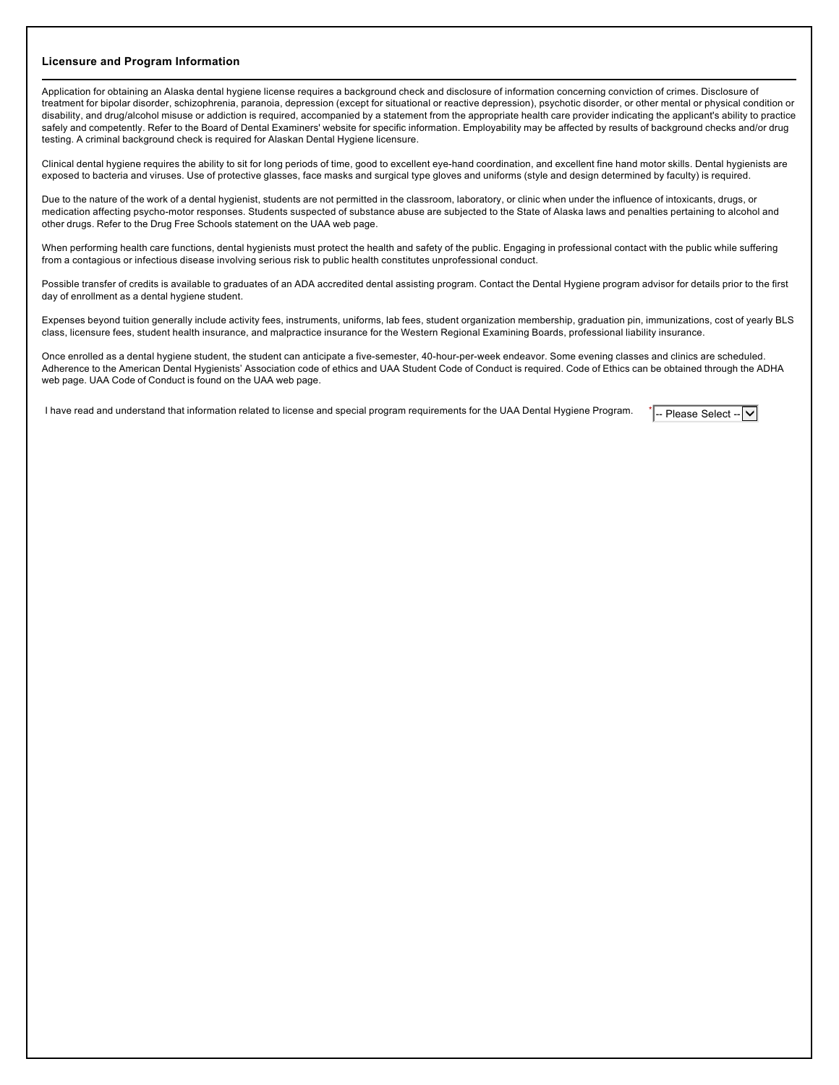#### **Licensure and Program Information**

Application for obtaining an Alaska dental hygiene license requires a background check and disclosure of information concerning conviction of crimes. Disclosure of treatment for bipolar disorder, schizophrenia, paranoia, depression (except for situational or reactive depression), psychotic disorder, or other mental or physical condition or disability, and drug/alcohol misuse or addiction is required, accompanied by a statement from the appropriate health care provider indicating the applicant's ability to practice safely and competently. Refer to the Board of Dental Examiners' website for specific information. Employability may be affected by results of background checks and/or drug testing. A criminal background check is required for Alaskan Dental Hygiene licensure.

Clinical dental hygiene requires the ability to sit for long periods of time, good to excellent eye-hand coordination, and excellent fine hand motor skills. Dental hygienists are exposed to bacteria and viruses. Use of protective glasses, face masks and surgical type gloves and uniforms (style and design determined by faculty) is required.

Due to the nature of the work of a dental hygienist, students are not permitted in the classroom, laboratory, or clinic when under the influence of intoxicants, drugs, or medication affecting psycho-motor responses. Students suspected of substance abuse are subjected to the State of Alaska laws and penalties pertaining to alcohol and other drugs. Refer to the Drug Free Schools statement on the UAA web page.

When performing health care functions, dental hygienists must protect the health and safety of the public. Engaging in professional contact with the public while suffering from a contagious or infectious disease involving serious risk to public health constitutes unprofessional conduct.

Possible transfer of credits is available to graduates of an ADA accredited dental assisting program. Contact the Dental Hygiene program advisor for details prior to the first day of enrollment as a dental hygiene student.

Expenses beyond tuition generally include activity fees, instruments, uniforms, lab fees, student organization membership, graduation pin, immunizations, cost of yearly BLS class, licensure fees, student health insurance, and malpractice insurance for the Western Regional Examining Boards, professional liability insurance.

Once enrolled as a dental hygiene student, the student can anticipate a five-semester, 40-hour-per-week endeavor. Some evening classes and clinics are scheduled. Adherence to the American Dental Hygienists' Association code of ethics and UAA Student Code of Conduct is required. Code of Ethics can be obtained through the ADHA web page. UAA Code of Conduct is found on the UAA web page.

I have read and understand that information related to license and special program requirements for the UAA Dental Hygiene Program. \*